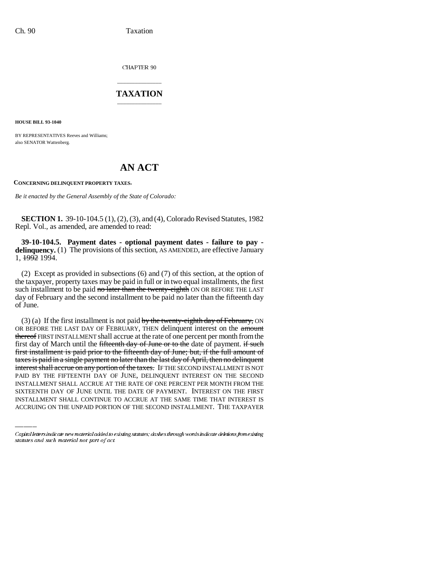CHAPTER 90

## \_\_\_\_\_\_\_\_\_\_\_\_\_\_\_ **TAXATION** \_\_\_\_\_\_\_\_\_\_\_\_\_\_\_

**HOUSE BILL 93-1040**

BY REPRESENTATIVES Reeves and Williams; also SENATOR Wattenberg.

## **AN ACT**

**CONCERNING DELINQUENT PROPERTY TAXES.**

*Be it enacted by the General Assembly of the State of Colorado:*

**SECTION 1.** 39-10-104.5 (1), (2), (3), and (4), Colorado Revised Statutes, 1982 Repl. Vol., as amended, are amended to read:

**39-10-104.5. Payment dates - optional payment dates - failure to pay delinquency.** (1) The provisions of this section, AS AMENDED, are effective January 1, 1992 1994.

(2) Except as provided in subsections (6) and (7) of this section, at the option of the taxpayer, property taxes may be paid in full or in two equal installments, the first such installment to be paid no later than the twenty-eighth ON OR BEFORE THE LAST day of February and the second installment to be paid no later than the fifteenth day of June.

PAID BY THE FIFTEENTH DAY OF JUNE, DELINQUENT INTEREST ON THE SECOND (3) (a) If the first installment is not paid by the twenty-eighth day of February, ON OR BEFORE THE LAST DAY OF FEBRUARY, THEN delinquent interest on the amount thereof FIRST INSTALLMENT shall accrue at the rate of one percent per month from the first day of March until the fifteenth day of June or to the date of payment. if such first installment is paid prior to the fifteenth day of June; but, if the full amount of taxes is paid in a single payment no later than the last day of April, then no delinquent interest shall accrue on any portion of the taxes. IF THE SECOND INSTALLMENT IS NOT INSTALLMENT SHALL ACCRUE AT THE RATE OF ONE PERCENT PER MONTH FROM THE SIXTEENTH DAY OF JUNE UNTIL THE DATE OF PAYMENT. INTEREST ON THE FIRST INSTALLMENT SHALL CONTINUE TO ACCRUE AT THE SAME TIME THAT INTEREST IS ACCRUING ON THE UNPAID PORTION OF THE SECOND INSTALLMENT. THE TAXPAYER

Capital letters indicate new material added to existing statutes; dashes through words indicate deletions from existing statutes and such material not part of act.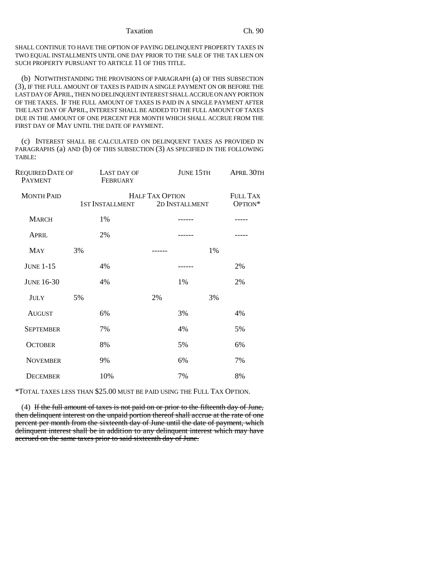SHALL CONTINUE TO HAVE THE OPTION OF PAYING DELINQUENT PROPERTY TAXES IN TWO EQUAL INSTALLMENTS UNTIL ONE DAY PRIOR TO THE SALE OF THE TAX LIEN ON SUCH PROPERTY PURSUANT TO ARTICLE 11 OF THIS TITLE.

(b) NOTWITHSTANDING THE PROVISIONS OF PARAGRAPH (a) OF THIS SUBSECTION (3), IF THE FULL AMOUNT OF TAXES IS PAID IN A SINGLE PAYMENT ON OR BEFORE THE LAST DAY OF APRIL, THEN NO DELINQUENT INTEREST SHALL ACCRUE ON ANY PORTION OF THE TAXES. IF THE FULL AMOUNT OF TAXES IS PAID IN A SINGLE PAYMENT AFTER THE LAST DAY OF APRIL, INTEREST SHALL BE ADDED TO THE FULL AMOUNT OF TAXES DUE IN THE AMOUNT OF ONE PERCENT PER MONTH WHICH SHALL ACCRUE FROM THE FIRST DAY OF MAY UNTIL THE DATE OF PAYMENT.

(c) INTEREST SHALL BE CALCULATED ON DELINQUENT TAXES AS PROVIDED IN PARAGRAPHS (a) AND (b) OF THIS SUBSECTION (3) AS SPECIFIED IN THE FOLLOWING TABLE:

| <b>REQUIRED DATE OF</b><br><b>PAYMENT</b> |                 | LAST DAY OF<br>FEBRUARY |                                          | <b>JUNE 15TH</b> |    | <b>APRIL 30TH</b>          |
|-------------------------------------------|-----------------|-------------------------|------------------------------------------|------------------|----|----------------------------|
| <b>MONTH PAID</b>                         | 1ST INSTALLMENT |                         | <b>HALF TAX OPTION</b><br>2D INSTALLMENT |                  |    | <b>FULL TAX</b><br>OPTION* |
| <b>MARCH</b>                              |                 | 1%                      |                                          |                  |    |                            |
| <b>APRIL</b>                              |                 | 2%                      |                                          |                  |    |                            |
| <b>MAY</b>                                | 3%              |                         |                                          |                  | 1% |                            |
| <b>JUNE 1-15</b>                          |                 | 4%                      |                                          |                  |    | 2%                         |
| <b>JUNE 16-30</b>                         |                 | 4%                      |                                          | 1%               |    | 2%                         |
| <b>JULY</b>                               | 5%              |                         | 2%                                       |                  | 3% |                            |
| <b>AUGUST</b>                             |                 | 6%                      |                                          | 3%               |    | 4%                         |
| <b>SEPTEMBER</b>                          |                 | 7%                      |                                          | 4%               |    | 5%                         |
| <b>OCTOBER</b>                            |                 | 8%                      |                                          | 5%               |    | 6%                         |
| <b>NOVEMBER</b>                           |                 | 9%                      |                                          | 6%               |    | 7%                         |
| <b>DECEMBER</b>                           |                 | 10%                     |                                          | 7%               |    | 8%                         |

\*TOTAL TAXES LESS THAN \$25.00 MUST BE PAID USING THE FULL TAX OPTION.

(4) If the full amount of taxes is not paid on or prior to the fifteenth day of June, then delinquent interest on the unpaid portion thereof shall accrue at the rate of one percent per month from the sixteenth day of June until the date of payment, which delinquent interest shall be in addition to any delinquent interest which may have accrued on the same taxes prior to said sixteenth day of June.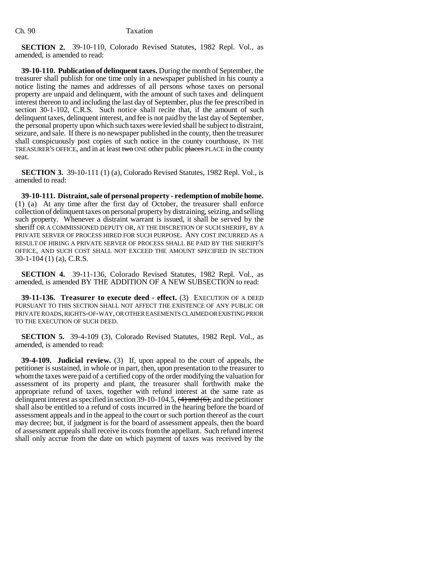**SECTION 2.** 39-10-110, Colorado Revised Statutes, 1982 Repl. Vol., as amended, is amended to read:

**39-10-110. Publication of delinquent taxes.** During the month of September, the treasurer shall publish for one time only in a newspaper published in his county a notice listing the names and addresses of all persons whose taxes on personal property are unpaid and delinquent, with the amount of such taxes and delinquent interest thereon to and including the last day of September, plus the fee prescribed in section 30-1-102, C.R.S. Such notice shall recite that, if the amount of such delinquent taxes, delinquent interest, and fee is not paid by the last day of September, the personal property upon which such taxes were levied shall be subject to distraint, seizure, and sale. If there is no newspaper published in the county, then the treasurer shall conspicuously post copies of such notice in the county courthouse, IN THE TREASURER'S OFFICE, and in at least two ONE other public places PLACE in the county seat.

**SECTION 3.** 39-10-111 (1) (a), Colorado Revised Statutes, 1982 Repl. Vol., is amended to read:

**39-10-111. Distraint, sale of personal property - redemption of mobile home.** (1) (a) At any time after the first day of October, the treasurer shall enforce collection of delinquent taxes on personal property by distraining, seizing, and selling such property. Whenever a distraint warrant is issued, it shall be served by the sheriff OR A COMMISSIONED DEPUTY OR, AT THE DISCRETION OF SUCH SHERIFF, BY A PRIVATE SERVER OF PROCESS HIRED FOR SUCH PURPOSE. ANY COST INCURRED AS A RESULT OF HIRING A PRIVATE SERVER OF PROCESS SHALL BE PAID BY THE SHERIFF'S OFFICE, AND SUCH COST SHALL NOT EXCEED THE AMOUNT SPECIFIED IN SECTION 30-1-104 (1) (a), C.R.S.

**SECTION 4.** 39-11-136, Colorado Revised Statutes, 1982 Repl. Vol., as amended, is amended BY THE ADDITION OF A NEW SUBSECTION to read:

**39-11-136. Treasurer to execute deed - effect.** (3) EXECUTION OF A DEED PURSUANT TO THIS SECTION SHALL NOT AFFECT THE EXISTENCE OF ANY PUBLIC OR PRIVATE ROADS, RIGHTS-OF-WAY, OR OTHER EASEMENTS CLAIMED OR EXISTING PRIOR TO THE EXECUTION OF SUCH DEED.

**SECTION 5.** 39-4-109 (3), Colorado Revised Statutes, 1982 Repl. Vol., as amended, is amended to read:

**39-4-109. Judicial review.** (3) If, upon appeal to the court of appeals, the petitioner is sustained, in whole or in part, then, upon presentation to the treasurer to whom the taxes were paid of a certified copy of the order modifying the valuation for assessment of its property and plant, the treasurer shall forthwith make the appropriate refund of taxes, together with refund interest at the same rate as delinquent interest as specified in section 39-10-104.5,  $\left(4\right)$  and  $\left(6\right)$ , and the petitioner shall also be entitled to a refund of costs incurred in the hearing before the board of assessment appeals and in the appeal to the court or such portion thereof as the court may decree; but, if judgment is for the board of assessment appeals, then the board of assessment appeals shall receive its costs from the appellant. Such refund interest shall only accrue from the date on which payment of taxes was received by the